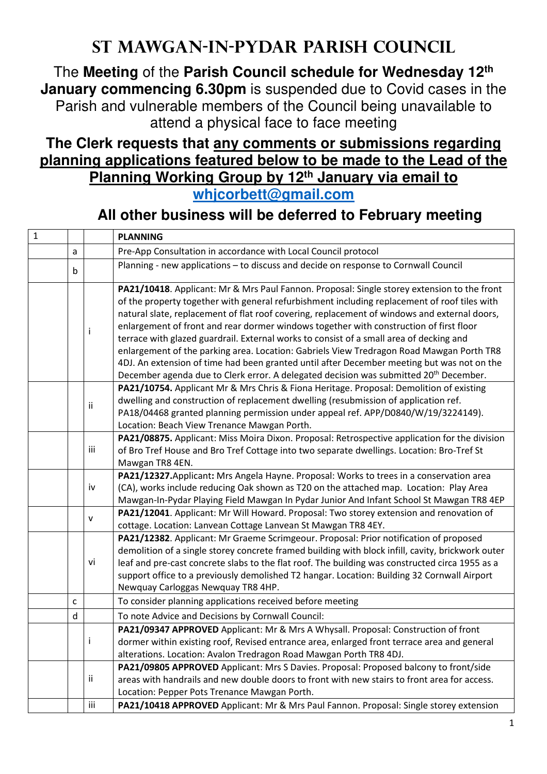## **St Mawgan-in-Pydar Parish Council**

The **Meeting** of the **Parish Council schedule for Wednesday 12th January commencing 6.30pm** is suspended due to Covid cases in the Parish and vulnerable members of the Council being unavailable to attend a physical face to face meeting

## **The Clerk requests that any comments or submissions regarding planning applications featured below to be made to the Lead of the Planning Working Group by 12th January via email to whjcorbett@gmail.com**

## **All other business will be deferred to February meeting**

| $\mathbf{1}$ |   |     | <b>PLANNING</b>                                                                                                                                                                                                                                                                                                                                                                                                                                                                                                                                                                                                                                                                                                                                                                 |
|--------------|---|-----|---------------------------------------------------------------------------------------------------------------------------------------------------------------------------------------------------------------------------------------------------------------------------------------------------------------------------------------------------------------------------------------------------------------------------------------------------------------------------------------------------------------------------------------------------------------------------------------------------------------------------------------------------------------------------------------------------------------------------------------------------------------------------------|
|              | a |     | Pre-App Consultation in accordance with Local Council protocol                                                                                                                                                                                                                                                                                                                                                                                                                                                                                                                                                                                                                                                                                                                  |
|              | b |     | Planning - new applications - to discuss and decide on response to Cornwall Council                                                                                                                                                                                                                                                                                                                                                                                                                                                                                                                                                                                                                                                                                             |
|              |   | Ť   | PA21/10418. Applicant: Mr & Mrs Paul Fannon. Proposal: Single storey extension to the front<br>of the property together with general refurbishment including replacement of roof tiles with<br>natural slate, replacement of flat roof covering, replacement of windows and external doors,<br>enlargement of front and rear dormer windows together with construction of first floor<br>terrace with glazed guardrail. External works to consist of a small area of decking and<br>enlargement of the parking area. Location: Gabriels View Tredragon Road Mawgan Porth TR8<br>4DJ. An extension of time had been granted until after December meeting but was not on the<br>December agenda due to Clerk error. A delegated decision was submitted 20 <sup>th</sup> December. |
|              |   | ii. | PA21/10754. Applicant Mr & Mrs Chris & Fiona Heritage. Proposal: Demolition of existing<br>dwelling and construction of replacement dwelling (resubmission of application ref.<br>PA18/04468 granted planning permission under appeal ref. APP/D0840/W/19/3224149).<br>Location: Beach View Trenance Mawgan Porth.                                                                                                                                                                                                                                                                                                                                                                                                                                                              |
|              |   | iii | PA21/08875. Applicant: Miss Moira Dixon. Proposal: Retrospective application for the division<br>of Bro Tref House and Bro Tref Cottage into two separate dwellings. Location: Bro-Tref St<br>Mawgan TR8 4EN.                                                                                                                                                                                                                                                                                                                                                                                                                                                                                                                                                                   |
|              |   | iv  | PA21/12327. Applicant: Mrs Angela Hayne. Proposal: Works to trees in a conservation area<br>(CA), works include reducing Oak shown as T20 on the attached map. Location: Play Area<br>Mawgan-In-Pydar Playing Field Mawgan In Pydar Junior And Infant School St Mawgan TR8 4EP                                                                                                                                                                                                                                                                                                                                                                                                                                                                                                  |
|              |   | V   | PA21/12041. Applicant: Mr Will Howard. Proposal: Two storey extension and renovation of<br>cottage. Location: Lanvean Cottage Lanvean St Mawgan TR8 4EY.                                                                                                                                                                                                                                                                                                                                                                                                                                                                                                                                                                                                                        |
|              |   | vi  | PA21/12382. Applicant: Mr Graeme Scrimgeour. Proposal: Prior notification of proposed<br>demolition of a single storey concrete framed building with block infill, cavity, brickwork outer<br>leaf and pre-cast concrete slabs to the flat roof. The building was constructed circa 1955 as a<br>support office to a previously demolished T2 hangar. Location: Building 32 Cornwall Airport<br>Newquay Carloggas Newquay TR8 4HP.                                                                                                                                                                                                                                                                                                                                              |
|              | C |     | To consider planning applications received before meeting                                                                                                                                                                                                                                                                                                                                                                                                                                                                                                                                                                                                                                                                                                                       |
|              | d |     | To note Advice and Decisions by Cornwall Council:                                                                                                                                                                                                                                                                                                                                                                                                                                                                                                                                                                                                                                                                                                                               |
|              |   | j   | PA21/09347 APPROVED Applicant: Mr & Mrs A Whysall. Proposal: Construction of front<br>dormer within existing roof, Revised entrance area, enlarged front terrace area and general<br>alterations. Location: Avalon Tredragon Road Mawgan Porth TR8 4DJ.                                                                                                                                                                                                                                                                                                                                                                                                                                                                                                                         |
|              |   | ii  | PA21/09805 APPROVED Applicant: Mrs S Davies. Proposal: Proposed balcony to front/side<br>areas with handrails and new double doors to front with new stairs to front area for access.<br>Location: Pepper Pots Trenance Mawgan Porth.                                                                                                                                                                                                                                                                                                                                                                                                                                                                                                                                           |
|              |   | iii | PA21/10418 APPROVED Applicant: Mr & Mrs Paul Fannon. Proposal: Single storey extension                                                                                                                                                                                                                                                                                                                                                                                                                                                                                                                                                                                                                                                                                          |